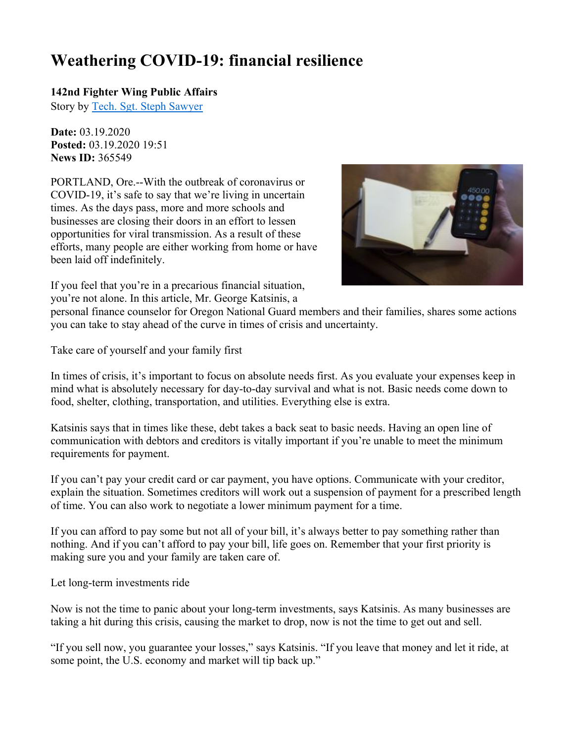## **Weathering COVID-19: financial resilience**

## **142nd Fighter Wing Public Affairs**

Story by Tech. Sgt. Steph Sawyer

**Date:** 03.19.2020 **Posted:** 03.19.2020 19:51 **News ID:** 365549

PORTLAND, Ore.--With the outbreak of coronavirus or COVID-19, it's safe to say that we're living in uncertain times. As the days pass, more and more schools and businesses are closing their doors in an effort to lessen opportunities for viral transmission. As a result of these efforts, many people are either working from home or have been laid off indefinitely.



If you feel that you're in a precarious financial situation, you're not alone. In this article, Mr. George Katsinis, a

personal finance counselor for Oregon National Guard members and their families, shares some actions you can take to stay ahead of the curve in times of crisis and uncertainty.

Take care of yourself and your family first

In times of crisis, it's important to focus on absolute needs first. As you evaluate your expenses keep in mind what is absolutely necessary for day-to-day survival and what is not. Basic needs come down to food, shelter, clothing, transportation, and utilities. Everything else is extra.

Katsinis says that in times like these, debt takes a back seat to basic needs. Having an open line of communication with debtors and creditors is vitally important if you're unable to meet the minimum requirements for payment.

If you can't pay your credit card or car payment, you have options. Communicate with your creditor, explain the situation. Sometimes creditors will work out a suspension of payment for a prescribed length of time. You can also work to negotiate a lower minimum payment for a time.

If you can afford to pay some but not all of your bill, it's always better to pay something rather than nothing. And if you can't afford to pay your bill, life goes on. Remember that your first priority is making sure you and your family are taken care of.

Let long-term investments ride

Now is not the time to panic about your long-term investments, says Katsinis. As many businesses are taking a hit during this crisis, causing the market to drop, now is not the time to get out and sell.

"If you sell now, you guarantee your losses," says Katsinis. "If you leave that money and let it ride, at some point, the U.S. economy and market will tip back up."